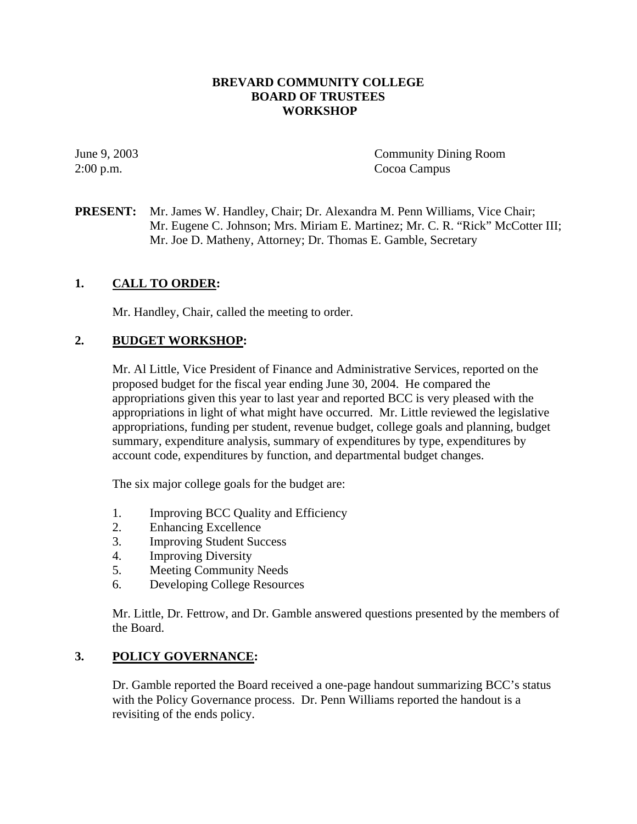#### **BREVARD COMMUNITY COLLEGE BOARD OF TRUSTEES WORKSHOP**

June 9, 2003 Community Dining Room 2:00 p.m. Cocoa Campus

**PRESENT:** Mr. James W. Handley, Chair; Dr. Alexandra M. Penn Williams, Vice Chair; Mr. Eugene C. Johnson; Mrs. Miriam E. Martinez; Mr. C. R. "Rick" McCotter III; Mr. Joe D. Matheny, Attorney; Dr. Thomas E. Gamble, Secretary

# **1. CALL TO ORDER:**

Mr. Handley, Chair, called the meeting to order.

## **2. BUDGET WORKSHOP:**

Mr. Al Little, Vice President of Finance and Administrative Services, reported on the proposed budget for the fiscal year ending June 30, 2004. He compared the appropriations given this year to last year and reported BCC is very pleased with the appropriations in light of what might have occurred. Mr. Little reviewed the legislative appropriations, funding per student, revenue budget, college goals and planning, budget summary, expenditure analysis, summary of expenditures by type, expenditures by account code, expenditures by function, and departmental budget changes.

The six major college goals for the budget are:

- 1. Improving BCC Quality and Efficiency
- 2. Enhancing Excellence
- 3. Improving Student Success
- 4. Improving Diversity
- 5. Meeting Community Needs
- 6. Developing College Resources

Mr. Little, Dr. Fettrow, and Dr. Gamble answered questions presented by the members of the Board.

## **3. POLICY GOVERNANCE:**

Dr. Gamble reported the Board received a one-page handout summarizing BCC's status with the Policy Governance process. Dr. Penn Williams reported the handout is a revisiting of the ends policy.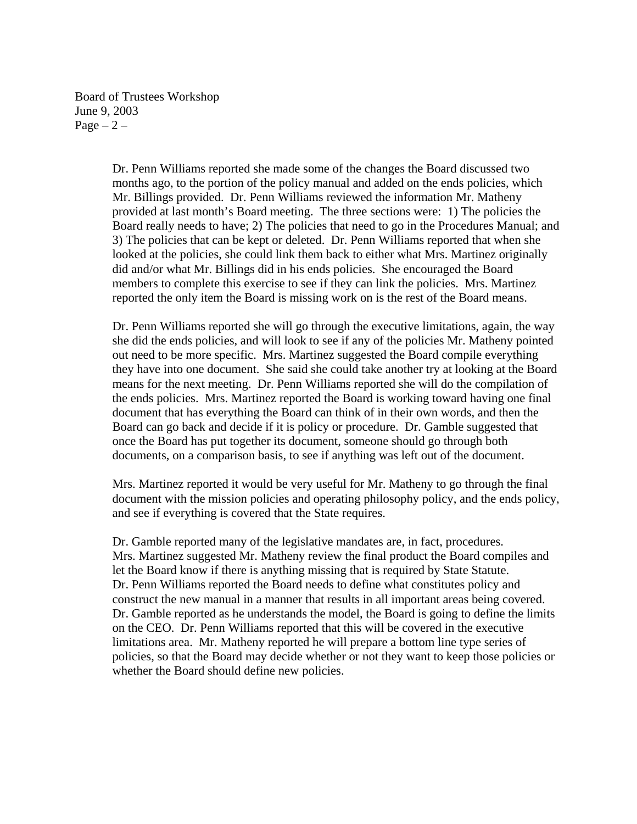Board of Trustees Workshop June 9, 2003 Page  $-2$  –

> Dr. Penn Williams reported she made some of the changes the Board discussed two months ago, to the portion of the policy manual and added on the ends policies, which Mr. Billings provided. Dr. Penn Williams reviewed the information Mr. Matheny provided at last month's Board meeting. The three sections were: 1) The policies the Board really needs to have; 2) The policies that need to go in the Procedures Manual; and 3) The policies that can be kept or deleted. Dr. Penn Williams reported that when she looked at the policies, she could link them back to either what Mrs. Martinez originally did and/or what Mr. Billings did in his ends policies. She encouraged the Board members to complete this exercise to see if they can link the policies. Mrs. Martinez reported the only item the Board is missing work on is the rest of the Board means.

> Dr. Penn Williams reported she will go through the executive limitations, again, the way she did the ends policies, and will look to see if any of the policies Mr. Matheny pointed out need to be more specific. Mrs. Martinez suggested the Board compile everything they have into one document. She said she could take another try at looking at the Board means for the next meeting. Dr. Penn Williams reported she will do the compilation of the ends policies. Mrs. Martinez reported the Board is working toward having one final document that has everything the Board can think of in their own words, and then the Board can go back and decide if it is policy or procedure. Dr. Gamble suggested that once the Board has put together its document, someone should go through both documents, on a comparison basis, to see if anything was left out of the document.

> Mrs. Martinez reported it would be very useful for Mr. Matheny to go through the final document with the mission policies and operating philosophy policy, and the ends policy, and see if everything is covered that the State requires.

> Dr. Gamble reported many of the legislative mandates are, in fact, procedures. Mrs. Martinez suggested Mr. Matheny review the final product the Board compiles and let the Board know if there is anything missing that is required by State Statute. Dr. Penn Williams reported the Board needs to define what constitutes policy and construct the new manual in a manner that results in all important areas being covered. Dr. Gamble reported as he understands the model, the Board is going to define the limits on the CEO. Dr. Penn Williams reported that this will be covered in the executive limitations area. Mr. Matheny reported he will prepare a bottom line type series of policies, so that the Board may decide whether or not they want to keep those policies or whether the Board should define new policies.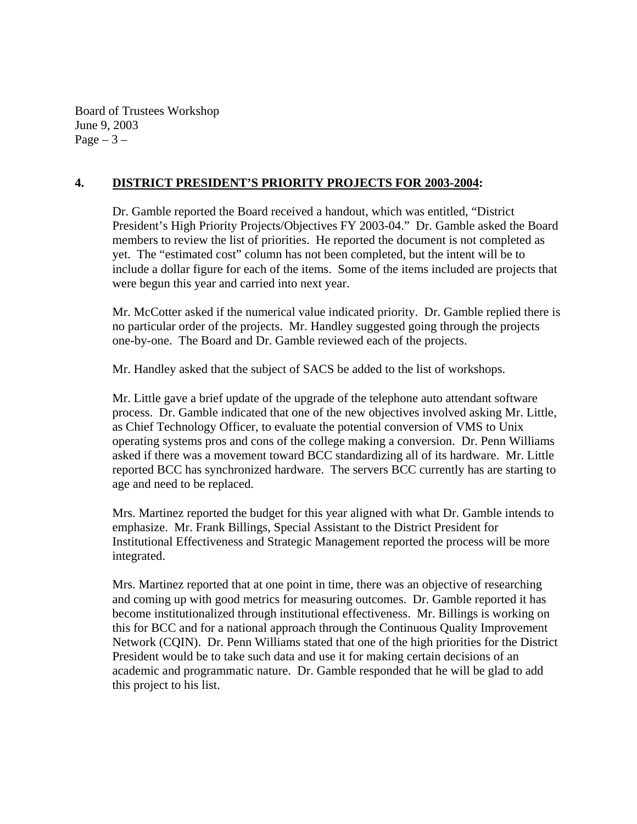Board of Trustees Workshop June 9, 2003 Page  $-3-$ 

### **4. DISTRICT PRESIDENT'S PRIORITY PROJECTS FOR 2003-2004:**

Dr. Gamble reported the Board received a handout, which was entitled, "District President's High Priority Projects/Objectives FY 2003-04." Dr. Gamble asked the Board members to review the list of priorities. He reported the document is not completed as yet. The "estimated cost" column has not been completed, but the intent will be to include a dollar figure for each of the items. Some of the items included are projects that were begun this year and carried into next year.

Mr. McCotter asked if the numerical value indicated priority. Dr. Gamble replied there is no particular order of the projects. Mr. Handley suggested going through the projects one-by-one. The Board and Dr. Gamble reviewed each of the projects.

Mr. Handley asked that the subject of SACS be added to the list of workshops.

Mr. Little gave a brief update of the upgrade of the telephone auto attendant software process. Dr. Gamble indicated that one of the new objectives involved asking Mr. Little, as Chief Technology Officer, to evaluate the potential conversion of VMS to Unix operating systems pros and cons of the college making a conversion. Dr. Penn Williams asked if there was a movement toward BCC standardizing all of its hardware. Mr. Little reported BCC has synchronized hardware. The servers BCC currently has are starting to age and need to be replaced.

Mrs. Martinez reported the budget for this year aligned with what Dr. Gamble intends to emphasize. Mr. Frank Billings, Special Assistant to the District President for Institutional Effectiveness and Strategic Management reported the process will be more integrated.

Mrs. Martinez reported that at one point in time, there was an objective of researching and coming up with good metrics for measuring outcomes. Dr. Gamble reported it has become institutionalized through institutional effectiveness. Mr. Billings is working on this for BCC and for a national approach through the Continuous Quality Improvement Network (CQIN). Dr. Penn Williams stated that one of the high priorities for the District President would be to take such data and use it for making certain decisions of an academic and programmatic nature. Dr. Gamble responded that he will be glad to add this project to his list.